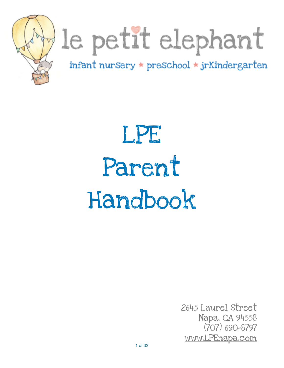

# le petit elephant

infant nursery \* preschool \* jrKindergarten

# LPE Parent Handbook

2645 Laurel Street Napa, CA 94558 (707) 690-8797 [www.LPEnapa.com](http://www.LPEnapa.com)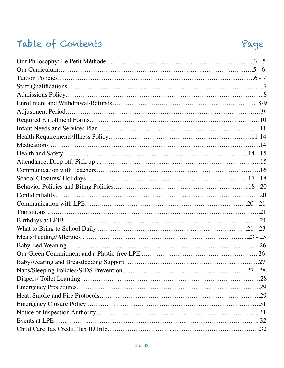# Table of Contents Page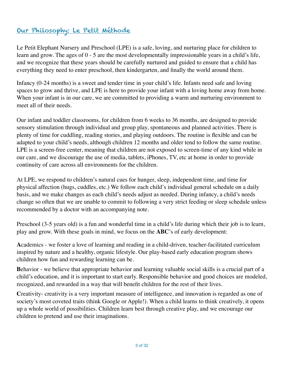# Our Philosophy: Le Petit Méthode

Le Petit Elephant Nursery and Preschool (LPE) is a safe, loving, and nurturing place for children to learn and grow. The ages of 0 - 5 are the most developmentally impressionable years in a child's life, and we recognize that these years should be carefully nurtured and guided to ensure that a child has everything they need to enter preschool, then kindergarten, and finally the world around them.

Infancy (0-24 months) is a sweet and tender time in your child's life. Infants need safe and loving spaces to grow and thrive, and LPE is here to provide your infant with a loving home away from home. When your infant is in our care, we are committed to providing a warm and nurturing environment to meet all of their needs.

Our infant and toddler classrooms, for children from 6 weeks to 36 months, are designed to provide sensory stimulation through individual and group play, spontaneous and planned activities. There is plenty of time for cuddling, reading stories, and playing outdoors. The routine is flexible and can be adapted to your child's needs, although children 12 months and older tend to follow the same routine. LPE is a screen-free center, meaning that children are not exposed to screen-time of any kind while in our care, and we discourage the use of media, tablets, iPhones, TV, etc at home in order to provide continuity of care across all environments for the children.

At LPE, we respond to children's natural cues for hunger, sleep, independent time, and time for physical affection (hugs, cuddles, etc.) We follow each child's individual general schedule on a daily basis, and we make changes as each child's needs adjust as needed. During infancy, a child's needs change so often that we are unable to commit to following a very strict feeding or sleep schedule unless recommended by a doctor with an accompanying note.

Preschool (3-5 years old) is a fun and wonderful time in a child's life during which their job is to learn, play and grow. With these goals in mind, we focus on the **ABC**'s of early development:

**A**cademics - we foster a love of learning and reading in a child-driven, teacher-facilitated curriculum inspired by nature and a healthy, organic lifestyle. Our play-based early education program shows children how fun and rewarding learning can be.

**B**ehavior - we believe that appropriate behavior and learning valuable social skills is a crucial part of a child's education, and it is important to start early. Responsible behavior and good choices are modeled, recognized, and rewarded in a way that will benefit children for the rest of their lives.

Creativity- creativity is a very important measure of intelligence, and innovation is regarded as one of society's most coveted traits (think Google or Apple!). When a child learns to think creatively, it opens up a whole world of possibilities. Children learn best through creative play, and we encourage our children to pretend and use their imaginations.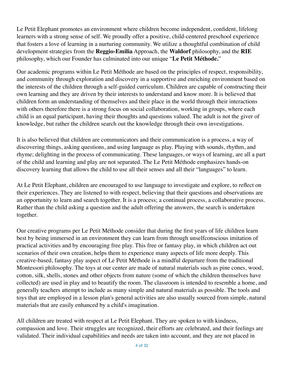Le Petit Elephant promotes an environment where children become independent, confident, lifelong learners with a strong sense of self. We proudly offer a positive, child-centered preschool experience that fosters a love of learning in a nurturing community. We utilize a thoughtful combination of child development strategies from the **Reggio-Emilia** Approach, the **Waldorf** philosophy, and the **RIE**  philosophy, which our Founder has culminated into our unique "**Le Petit Méthode.**"

Our academic programs within Le Petit Méthode are based on the principles of respect, responsibility, and community through exploration and discovery in a supportive and enriching environment based on the interests of the children through a self-guided curriculum. Children are capable of constructing their own learning and they are driven by their interests to understand and know more. It is believed that children form an understanding of themselves and their place in the world through their interactions with others therefore there is a strong focus on social collaboration, working in groups, where each child is an equal participant, having their thoughts and questions valued. The adult is not the giver of knowledge, but rather the children search out the knowledge through their own investigations.

It is also believed that children are communicators and their communication is a process, a way of discovering things, asking questions, and using language as play. Playing with sounds, rhythm, and rhyme; delighting in the process of communicating. These languages, or ways of learning, are all a part of the child and learning and play are not separated. The Le Petit Méthode emphasizes hands-on discovery learning that allows the child to use all their senses and all their "languages" to learn.

At Le Petit Elephant, children are encouraged to use language to investigate and explore, to reflect on their experiences. They are listened to with respect, believing that their questions and observations are an opportunity to learn and search together. It is a process; a continual process, a collaborative process. Rather than the child asking a question and the adult offering the answers, the search is undertaken together.

Our creative programs per Le Petit Méthode consider that during the first years of life children learn best by being immersed in an environment they can learn from through unselfconscious imitation of practical activities and by encouraging free play. This free or fantasy play, in which children act out scenarios of their own creation, helps them to experience many aspects of life more deeply. This creative-based, fantasy play aspect of Le Petit Méthode is a mindful departure from the traditional Montessori philosophy. The toys at our center are made of natural materials such as pine cones, wood, cotton, silk, shells, stones and other objects from nature (some of which the children themselves have collected) are used in play and to beautify the room. The classroom is intended to resemble a home, and generally teachers attempt to include as many simple and natural materials as possible. The tools and toys that are employed in a lesson plan's general activities are also usually sourced from simple, natural materials that are easily enhanced by a child's imagination.

All children are treated with respect at Le Petit Elephant. They are spoken to with kindness, compassion and love. Their struggles are recognized, their efforts are celebrated, and their feelings are validated. Their individual capabilities and needs are taken into account, and they are not placed in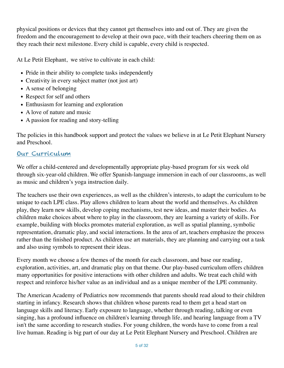physical positions or devices that they cannot get themselves into and out of. They are given the freedom and the encouragement to develop at their own pace, with their teachers cheering them on as they reach their next milestone. Every child is capable, every child is respected.

At Le Petit Elephant, we strive to cultivate in each child:

- Pride in their ability to complete tasks independently
- Creativity in every subject matter (not just art)
- A sense of belonging
- Respect for self and others
- Enthusiasm for learning and exploration
- A love of nature and music
- A passion for reading and story-telling

The policies in this handbook support and protect the values we believe in at Le Petit Elephant Nursery and Preschool.

#### Our Curriculum

We offer a child-centered and developmentally appropriate play-based program for six week old through six-year-old children. We offer Spanish-language immersion in each of our classrooms, as well as music and children's yoga instruction daily.

The teachers use their own experiences, as well as the children's interests, to adapt the curriculum to be unique to each LPE class. Play allows children to learn about the world and themselves. As children play, they learn new skills, develop coping mechanisms, test new ideas, and master their bodies. As children make choices about where to play in the classroom, they are learning a variety of skills. For example, building with blocks promotes material exploration, as well as spatial planning, symbolic representation, dramatic play, and social interactions. In the area of art, teachers emphasize the process rather than the finished product. As children use art materials, they are planning and carrying out a task and also using symbols to represent their ideas.

Every month we choose a few themes of the month for each classroom, and base our reading, exploration, activities, art, and dramatic play on that theme. Our play-based curriculum offers children many opportunities for positive interactions with other children and adults. We treat each child with respect and reinforce his/her value as an individual and as a unique member of the LPE community.

The American Academy of Pediatrics now recommends that parents should read aloud to their children starting in infancy. Research shows that children whose parents read to them get a head start on language skills and literacy. Early exposure to language, whether through reading, talking or even singing, has a profound influence on children's learning through life, and hearing language from a TV isn't the same according to research studies. For young children, the words have to come from a real live human. Reading is big part of our day at Le Petit Elephant Nursery and Preschool. Children are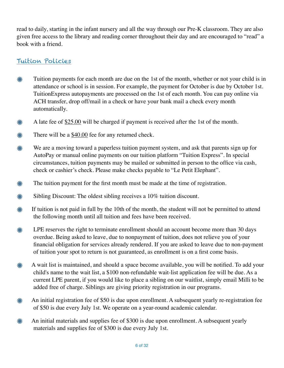read to daily, starting in the infant nursery and all the way through our Pre-K classroom. They are also given free access to the library and reading corner throughout their day and are encouraged to "read" a book with a friend.

#### Tuition Policies

- ☀ Tuition payments for each month are due on the 1st of the month, whether or not your child is in attendance or school is in session. For example, the payment for October is due by October 1st. TuitionExpress autopayments are processed on the 1st of each month. You can pay online via ACH transfer, drop off/mail in a check or have your bank mail a check every month automatically.
- A late fee of \$25.00 will be charged if payment is received after the 1st of the month. ⋇
- ☀ There will be a \$40.00 fee for any returned check.
- ☀ We are a moving toward a paperless tuition payment system, and ask that parents sign up for AutoPay or manual online payments on our tuition platform "Tuition Express". In special circumstances, tuition payments may be mailed or submitted in person to the office via cash, check or cashier's check. Please make checks payable to "Le Petit Elephant".
- ⋇ The tuition payment for the first month must be made at the time of registration.
- ☀ Sibling Discount: The oldest sibling receives a 10% tuition discount.
- **If tuition is not paid in full by the 10th of the month, the student will not be permitted to attend** the following month until all tuition and fees have been received.
- ☀ LPE reserves the right to terminate enrollment should an account become more than 30 days overdue. Being asked to leave, due to nonpayment of tuition, does not relieve you of your financial obligation for services already rendered. If you are asked to leave due to non-payment of tuition your spot to return is not guaranteed, as enrollment is on a first come basis.
- ⋇ A wait list is maintained, and should a space become available, you will be notified. To add your child's name to the wait list, a \$100 non-refundable wait-list application fee will be due. As a current LPE parent, if you would like to place a sibling on our waitlist, simply email Milli to be added free of charge. Siblings are giving priority registration in our programs.
- **An initial registration fee of \$50 is due upon enrollment. A subsequent yearly re-registration fee** of \$50 is due every July 1st. We operate on a year-round academic calendar.
- An initial materials and supplies fee of \$300 is due upon enrollment. A subsequent yearly ⋇ materials and supplies fee of \$300 is due every July 1st.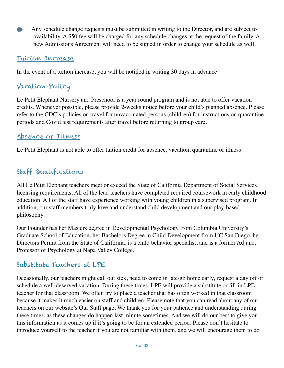Any schedule change requests must be submitted in writing to the Director, and are subject to ⋇ availability. A \$50 fee will be charged for any schedule changes at the request of the family. A new Admissions Agreement will need to be signed in order to change your schedule as well.

#### Tuition Increase

In the event of a tuition increase, you will be notified in writing 30 days in advance.

# Vacation Policy

Le Petit Elephant Nursery and Preschool is a year round program and is not able to offer vacation credits. Whenever possible, please provide 2-weeks notice before your child's planned absence. Please refer to the CDC's policies on travel for unvaccinated persons (children) for instructions on quarantine periods and Covid test requirements after travel before returning to group care.

# Absence or Illness

Le Petit Elephant is not able to offer tuition credit for absence, vacation, quarantine or illness.

# Staff Qualifications

All Le Petit Elephant teachers meet or exceed the State of California Department of Social Services licensing requirements. All of the lead teachers have completed required coursework in early childhood education. All of the staff have experience working with young children in a supervised program. In addition, our staff members truly love and understand child development and our play-based philosophy.

Our Founder has her Masters degree in Developmental Psychology from Columbia University's Graduate School of Education, her Bachelors Degree in Child Development from UC San Diego, her Directors Permit from the State of California, is a child behavior specialist, and is a former Adjunct Professor of Psychology at Napa Valley College.

# Substitute Teachers at LPE

Occasionally, our teachers might call out sick, need to come in late/go home early, request a day off or schedule a well-deserved vacation. During these times, LPE will provide a substitute or fill-in LPE teacher for that classroom. We often try to place a teacher that has often worked in that classroom because it makes it much easier on staff and children. Please note that you can read about any of our teachers on our website's Our Staff page. We thank you for your patience and understanding during these times, as these changes do happen last minute sometimes. And we will do our best to give you this information as it comes up if it's going to be for an extended period. Please don't hesitate to introduce yourself to the teacher if you are not familiar with them, and we will encourage them to do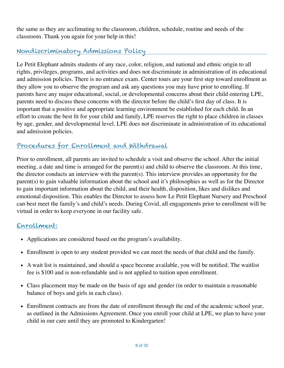the same as they are acclimating to the classroom, children, schedule, routine and needs of the classroom. Thank you again for your help in this!

# Nondiscriminatory Admissions Policy

Le Petit Elephant admits students of any race, color, religion, and national and ethnic origin to all rights, privileges, programs, and activities and does not discriminate in administration of its educational and admission policies. There is no entrance exam. Center tours are your first step toward enrollment as they allow you to observe the program and ask any questions you may have prior to enrolling. If parents have any major educational, social, or developmental concerns about their child entering LPE, parents need to discuss these concerns with the director before the child's first day of class. It is important that a positive and appropriate learning environment be established for each child. In an effort to create the best fit for your child and family, LPE reserves the right to place children in classes by age, gender, and developmental level. LPE does not discriminate in administration of its educational and admission policies.

# Procedures for Enrollment and Withdrawal

Prior to enrollment, all parents are invited to schedule a visit and observe the school. After the initial meeting, a date and time is arranged for the parent(s) and child to observe the classroom. At this time, the director conducts an interview with the parent(s). This interview provides an opportunity for the parent(s) to gain valuable information about the school and it's philosophies as well as for the Director to gain important information about the child, and their health, disposition, likes and dislikes and emotional disposition. This enables the Director to assess how Le Petit Elephant Nursery and Preschool can best meet the family's and child's needs. During Covid, all engagements prior to enrollment will be virtual in order to keep everyone in our facility safe.

#### Enrollment:

- Applications are considered based on the program's availability.
- Enrollment is open to any student provided we can meet the needs of that child and the family.
- A wait list is maintained, and should a space become available, you will be notified. The waitlist fee is \$100 and is non-refundable and is not applied to tuition upon enrollment.
- Class placement may be made on the basis of age and gender (in order to maintain a reasonable balance of boys and girls in each class).
- Enrollment contracts are from the date of enrollment through the end of the academic school year, as outlined in the Admissions Agreement. Once you enroll your child at LPE, we plan to have your child in our care until they are promoted to Kindergarten!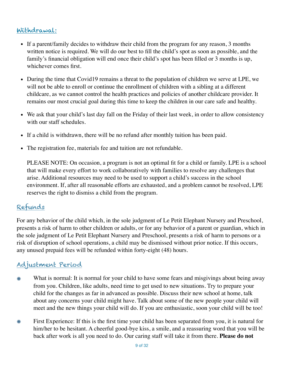# Withdrawal:

- If a parent/family decides to withdraw their child from the program for any reason, 3 months written notice is required. We will do our best to fill the child's spot as soon as possible, and the family's financial obligation will end once their child's spot has been filled or 3 months is up, whichever comes first.
- During the time that Covid19 remains a threat to the population of children we serve at LPE, we will not be able to enroll or continue the enrollment of children with a sibling at a different childcare, as we cannot control the health practices and policies of another childcare provider. It remains our most crucial goal during this time to keep the children in our care safe and healthy.
- We ask that your child's last day fall on the Friday of their last week, in order to allow consistency with our staff schedules.
- If a child is withdrawn, there will be no refund after monthly tuition has been paid.
- The registration fee, materials fee and tuition are not refundable.

PLEASE NOTE: On occasion, a program is not an optimal fit for a child or family. LPE is a school that will make every effort to work collaboratively with families to resolve any challenges that arise. Additional resources may need to be used to support a child's success in the school environment. If, after all reasonable efforts are exhausted, and a problem cannot be resolved, LPE reserves the right to dismiss a child from the program.

# Refunds

For any behavior of the child which, in the sole judgment of Le Petit Elephant Nursery and Preschool, presents a risk of harm to other children or adults, or for any behavior of a parent or guardian, which in the sole judgment of Le Petit Elephant Nursery and Preschool, presents a risk of harm to persons or a risk of disruption of school operations, a child may be dismissed without prior notice. If this occurs, any unused prepaid fees will be refunded within forty-eight (48) hours.

# Adjustment Period

- What is normal: It is normal for your child to have some fears and misgivings about being away from you. Children, like adults, need time to get used to new situations. Try to prepare your child for the changes as far in advanced as possible. Discuss their new school at home, talk about any concerns your child might have. Talk about some of the new people your child will meet and the new things your child will do. If you are enthusiastic, soon your child will be too!
- First Experience: If this is the first time your child has been separated from you, it is natural for ☀ him/her to be hesitant. A cheerful good-bye kiss, a smile, and a reassuring word that you will be back after work is all you need to do. Our caring staff will take it from there. **Please do not**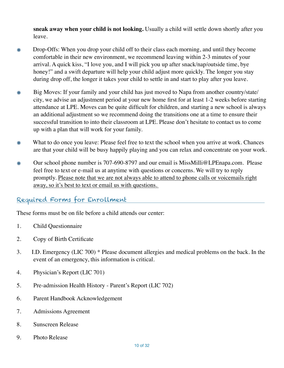**sneak away when your child is not looking.** Usually a child will settle down shortly after you leave.

- Drop-Offs: When you drop your child off to their class each morning, and until they become comfortable in their new environment, we recommend leaving within 2-3 minutes of your arrival. A quick kiss, "I love you, and I will pick you up after snack/nap/outside time, bye honey!" and a swift departure will help your child adjust more quickly. The longer you stay during drop off, the longer it takes your child to settle in and start to play after you leave.
- Big Moves: If your family and your child has just moved to Napa from another country/state/ city, we advise an adjustment period at your new home first for at least 1-2 weeks before starting attendance at LPE. Moves can be quite difficult for children, and starting a new school is always an additional adjustment so we recommend doing the transitions one at a time to ensure their successful transition to into their classroom at LPE. Please don't hesitate to contact us to come up with a plan that will work for your family.
- What to do once you leave: Please feel free to text the school when you arrive at work. Chances are that your child will be busy happily playing and you can relax and concentrate on your work.
- Our school phone number is 707-690-8797 and our email is MissMilli@LPEnapa.com. Please feel free to text or e-mail us at anytime with questions or concerns. We will try to reply promptly. Please note that we are not always able to attend to phone calls or voicemails right away, so it's best to text or email us with questions.

### Required Forms for Enrollment

These forms must be on file before a child attends our center:

- 1. Child Questionnaire
- 2. Copy of Birth Certificate
- 3. I.D. Emergency (LIC 700) \* Please document allergies and medical problems on the back. In the event of an emergency, this information is critical.
- 4. Physician's Report (LIC 701)
- 5. Pre-admission Health History Parent's Report (LIC 702)
- 6. Parent Handbook Acknowledgement
- 7. Admissions Agreement
- 8. Sunscreen Release
- 9. Photo Release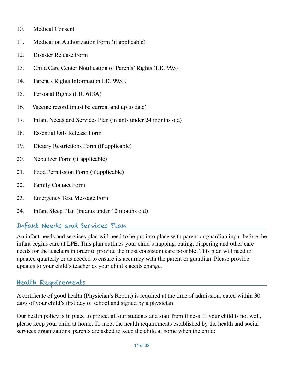- 10. Medical Consent
- 11. Medication Authorization Form (if applicable)
- 12. Disaster Release Form
- 13. Child Care Center Notification of Parents' Rights (LIC 995)
- 14. Parent's Rights Information LIC 995E
- 15. Personal Rights (LIC 613A)
- 16. Vaccine record (must be current and up to date)
- 17. Infant Needs and Services Plan (infants under 24 months old)
- 18. Essential Oils Release Form
- 19. Dietary Restrictions Form (if applicable)
- 20. Nebulizer Form (if applicable)
- 21. Food Permission Form (if applicable)
- 22. Family Contact Form
- 23. Emergency Text Message Form
- 24. Infant Sleep Plan (infants under 12 months old)

#### Infant Needs and Services Plan

An infant needs and services plan will need to be put into place with parent or guardian input before the infant begins care at LPE. This plan outlines your child's napping, eating, diapering and other care needs for the teachers in order to provide the most consistent care possible. This plan will need to updated quarterly or as needed to ensure its accuracy with the parent or guardian. Please provide updates to your child's teacher as your child's needs change.

# Health Requirements

A certificate of good health (Physician's Report) is required at the time of admission, dated within 30 days of your child's first day of school and signed by a physician.

Our health policy is in place to protect all our students and staff from illness. If your child is not well, please keep your child at home. To meet the health requirements established by the health and social services organizations, parents are asked to keep the child at home when the child: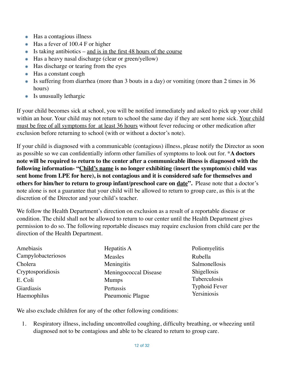- Has a contagious illness
- Has a fever of 100.4 F or higher
- $\ast$  Is taking antibiotics and is in the first 48 hours of the course
- Has a heavy nasal discharge (clear or green/yellow)
- Has discharge or tearing from the eyes
- Has a constant cough
- Is suffering from diarrhea (more than 3 bouts in a day) or vomiting (more than 2 times in 36 hours)
- Is unusually lethargic

If your child becomes sick at school, you will be notified immediately and asked to pick up your child within an hour. Your child may not return to school the same day if they are sent home sick. Your child must be free of all symptoms for at least 36 hours without fever reducing or other medication after exclusion before returning to school (with or without a doctor's note).

If your child is diagnosed with a communicable (contagious) illness, please notify the Director as soon as possible so we can confidentially inform other families of symptoms to look out for. \***A doctors note will be required to return to the center after a communicable illness is diagnosed with the following information- "Child's name is no longer exhibiting (insert the symptom(s) child was sent home from LPE for here), is not contagious and it is considered safe for themselves and others for him/her to return to group infant/preschool care on date".** Please note that a doctor's note alone is not a guarantee that your child will be allowed to return to group care, as this is at the discretion of the Director and your child's teacher.

We follow the Health Department's direction on exclusion as a result of a reportable disease or condition. The child shall not be allowed to return to our center until the Health Department gives permission to do so. The following reportable diseases may require exclusion from child care per the direction of the Health Department.

| Amebiasis          | Hepatitis A           | Poliomyelitis        |
|--------------------|-----------------------|----------------------|
| Campylobacteriosos | Measles               | Rubella              |
| Cholera            | Meningitis            | Salmonellosis        |
| Cryptosporidiosis  | Meningococcal Disease | Shigellosis          |
| E. Coli            | <b>Mumps</b>          | Tuberculosis         |
| Giardiasis         | Pertussis             | <b>Typhoid Fever</b> |
| Haemophilus        | Pneumonic Plague      | Yersiniosis          |

We also exclude children for any of the other following conditions:

1. Respiratory illness, including uncontrolled coughing, difficulty breathing, or wheezing until diagnosed not to be contagious and able to be cleared to return to group care.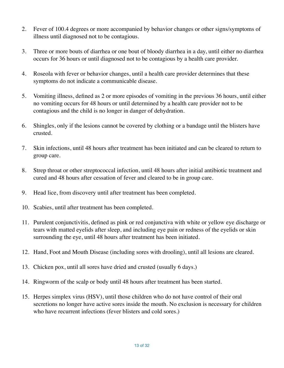- 2. Fever of 100.4 degrees or more accompanied by behavior changes or other signs/symptoms of illness until diagnosed not to be contagious.
- 3. Three or more bouts of diarrhea or one bout of bloody diarrhea in a day, until either no diarrhea occurs for 36 hours or until diagnosed not to be contagious by a health care provider.
- 4. Roseola with fever or behavior changes, until a health care provider determines that these symptoms do not indicate a communicable disease.
- 5. Vomiting illness, defined as 2 or more episodes of vomiting in the previous 36 hours, until either no vomiting occurs for 48 hours or until determined by a health care provider not to be contagious and the child is no longer in danger of dehydration.
- 6. Shingles, only if the lesions cannot be covered by clothing or a bandage until the blisters have crusted.
- 7. Skin infections, until 48 hours after treatment has been initiated and can be cleared to return to group care.
- 8. Strep throat or other streptococcal infection, until 48 hours after initial antibiotic treatment and cured and 48 hours after cessation of fever and cleared to be in group care.
- 9. Head lice, from discovery until after treatment has been completed.
- 10. Scabies, until after treatment has been completed.
- 11. Purulent conjunctivitis, defined as pink or red conjunctiva with white or yellow eye discharge or tears with matted eyelids after sleep, and including eye pain or redness of the eyelids or skin surrounding the eye, until 48 hours after treatment has been initiated.
- 12. Hand, Foot and Mouth Disease (including sores with drooling), until all lesions are cleared.
- 13. Chicken pox, until all sores have dried and crusted (usually 6 days.)
- 14. Ringworm of the scalp or body until 48 hours after treatment has been started.
- 15. Herpes simplex virus (HSV), until those children who do not have control of their oral secretions no longer have active sores inside the mouth. No exclusion is necessary for children who have recurrent infections (fever blisters and cold sores.)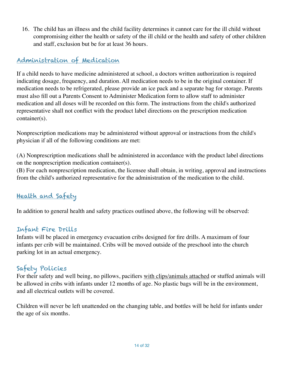16. The child has an illness and the child facility determines it cannot care for the ill child without compromising either the health or safety of the ill child or the health and safety of other children and staff, exclusion but be for at least 36 hours.

# Administration of Medication

If a child needs to have medicine administered at school, a doctors written authorization is required indicating dosage, frequency, and duration. All medication needs to be in the original container. If medication needs to be refrigerated, please provide an ice pack and a separate bag for storage. Parents must also fill out a Parents Consent to Administer Medication form to allow staff to administer medication and all doses will be recorded on this form. The instructions from the child's authorized representative shall not conflict with the product label directions on the prescription medication container(s).

Nonprescription medications may be administered without approval or instructions from the child's physician if all of the following conditions are met:

(A) Nonprescription medications shall be administered in accordance with the product label directions on the nonprescription medication container(s).

(B) For each nonprescription medication, the licensee shall obtain, in writing, approval and instructions from the child's authorized representative for the administration of the medication to the child.

# Health and Safety

In addition to general health and safety practices outlined above, the following will be observed:

# Infant Fire Drills

Infants will be placed in emergency evacuation cribs designed for fire drills. A maximum of four infants per crib will be maintained. Cribs will be moved outside of the preschool into the church parking lot in an actual emergency.

# Safety Policies

For their safety and well being, no pillows, pacifiers with clips/animals attached or stuffed animals will be allowed in cribs with infants under 12 months of age. No plastic bags will be in the environment, and all electrical outlets will be covered.

Children will never be left unattended on the changing table, and bottles will be held for infants under the age of six months.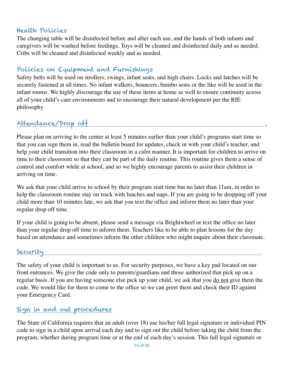#### Health Policies

The changing table will be disinfected before and after each use, and the hands of both infants and caregivers will be washed before feedings. Toys will be cleaned and disinfected daily and as needed. Cribs will be cleaned and disinfected weekly and as needed.

# Policies on Equipment and Furnishings

Safety belts will be used on strollers, swings, infant seats, and high chairs. Locks and latches will be securely fastened at all times. No infant walkers, bouncers, bumbo seats or the like will be used in the infant rooms. We highly discourage the use of these items at home as well to ensure continuity across all of your child's care environments and to encourage their natural development per the RIE philosophy.

# Attendance/Drop off .

Please plan on arriving to the center at least 5 minutes earlier than your child's programs start time so that you can sign them in, read the bulletin board for updates, check in with your child's teacher, and help your child transition into their classroom in a calm manner. It is important for children to arrive on time to their classroom so that they can be part of the daily routine. This routine gives them a sense of control and comfort while at school, and so we highly encourage parents to assist their children in arriving on time.

We ask that your child arrive to school by their program start time but no later than 11am, in order to help the classroom routine stay on track with lunches and naps. If you are going to be dropping off your child more than 10 minutes late, we ask that you text the office and inform them no later than your regular drop off time.

If your child is going to be absent, please send a message via Brightwheel or text the office no later than your regular drop off time to inform them. Teachers like to be able to plan lessons for the day based on attendance and sometimes inform the other children who might inquire about their classmate.

#### Security

The safety of your child is important to us. For security purposes, we have a key pad located on our front entrances. We give the code only to parents/guardians and those authorized that pick up on a regular basis. If you are having someone else pick up your child, we ask that you <u>do not</u> give them the code. We would like for them to come to the office so we can greet them and check their ID against your Emergency Card.

#### Sign in and out procedures

The State of California requires that an adult (over 18) use his/her full legal signature or individual PIN code to sign in a child upon arrival each day and to sign out the child before taking the child from the program, whether during program time or at the end of each day's session. This full legal signature or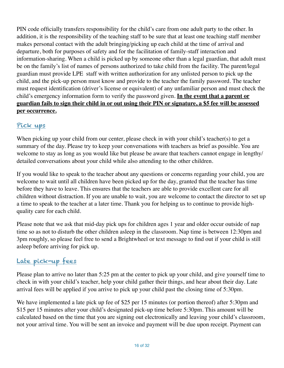PIN code officially transfers responsibility for the child's care from one adult party to the other. In addition, it is the responsibility of the teaching staff to be sure that at least one teaching staff member makes personal contact with the adult bringing/picking up each child at the time of arrival and departure, both for purposes of safety and for the facilitation of family-staff interaction and information-sharing. When a child is picked up by someone other than a legal guardian, that adult must be on the family's list of names of persons authorized to take child from the facility. The parent/legal guardian must provide LPE staff with written authorization for any unlisted person to pick up the child, and the pick-up person must know and provide to the teacher the family password. The teacher must request identification (driver's license or equivalent) of any unfamiliar person and must check the child's emergency information form to verify the password given. **In the event that a parent or guardian fails to sign their child in or out using their PIN or signature, a \$5 fee will be assessed per occurrence.**

# Pick ups

When picking up your child from our center, please check in with your child's teacher(s) to get a summary of the day. Please try to keep your conversations with teachers as brief as possible. You are welcome to stay as long as you would like but please be aware that teachers cannot engage in lengthy/ detailed conversations about your child while also attending to the other children.

If you would like to speak to the teacher about any questions or concerns regarding your child, you are welcome to wait until all children have been picked up for the day, granted that the teacher has time before they have to leave. This ensures that the teachers are able to provide excellent care for all children without distraction. If you are unable to wait, you are welcome to contact the director to set up a time to speak to the teacher at a later time. Thank you for helping us to continue to provide highquality care for each child.

Please note that we ask that mid-day pick ups for children ages 1 year and older occur outside of nap time so as not to disturb the other children asleep in the classroom. Nap time is between 12:30pm and 3pm roughly, so please feel free to send a Brightwheel or text message to find out if your child is still asleep before arriving for pick up.

# Late pick-up fees

Please plan to arrive no later than 5:25 pm at the center to pick up your child, and give yourself time to check in with your child's teacher, help your child gather their things, and hear about their day. Late arrival fees will be applied if you arrive to pick up your child past the closing time of 5:30pm.

We have implemented a late pick up fee of \$25 per 15 minutes (or portion thereof) after 5:30pm and \$15 per 15 minutes after your child's designated pick-up time before 5:30pm. This amount will be calculated based on the time that you are signing out electronically and leaving your child's classroom, not your arrival time. You will be sent an invoice and payment will be due upon receipt. Payment can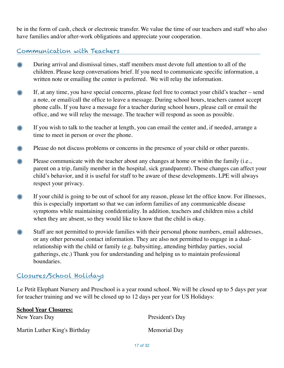be in the form of cash, check or electronic transfer. We value the time of our teachers and staff who also have families and/or after-work obligations and appreciate your cooperation.

#### Communication with Teachers

- ☀ During arrival and dismissal times, staff members must devote full attention to all of the children. Please keep conversations brief. If you need to communicate specific information, a written note or emailing the center is preferred. We will relay the information.
- ☀ If, at any time, you have special concerns, please feel free to contact your child's teacher – send a note, or email/call the office to leave a message. During school hours, teachers cannot accept phone calls. If you have a message for a teacher during school hours, please call or email the office, and we will relay the message. The teacher will respond as soon as possible.
- If you wish to talk to the teacher at length, you can email the center and, if needed, arrange a ☀ time to meet in person or over the phone.
- Please do not discuss problems or concerns in the presence of your child or other parents. ⋇
- Please communicate with the teacher about any changes at home or within the family (i.e., ⋇ parent on a trip, family member in the hospital, sick grandparent). These changes can affect your child's behavior, and it is useful for staff to be aware of these developments. LPE will always respect your privacy.
- ⋇ If your child is going to be out of school for any reason, please let the office know. For illnesses, this is especially important so that we can inform families of any communicable disease symptoms while maintaining confidentiality. In addition, teachers and children miss a child when they are absent, so they would like to know that the child is okay.
- Staff are not permitted to provide families with their personal phone numbers, email addresses, ⋇ or any other personal contact information. They are also not permitted to engage in a dualrelationship with the child or family (e.g. babysitting, attending birthday parties, social gatherings, etc.) Thank you for understanding and helping us to maintain professional boundaries.

#### Closures/School Holidays

Le Petit Elephant Nursery and Preschool is a year round school. We will be closed up to 5 days per year for teacher training and we will be closed up to 12 days per year for US Holidays:

| <b>School Year Closures:</b>  |                 |
|-------------------------------|-----------------|
| New Years Day                 | President's Day |
| Martin Luther King's Birthday | Memorial Day    |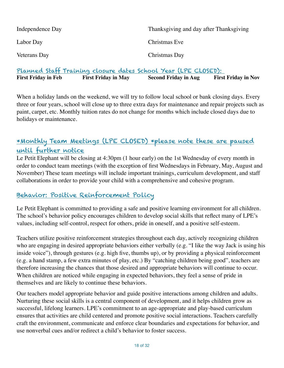| Independence Day | Thanksgiving and day after Thanksgiving |
|------------------|-----------------------------------------|
| Labor Day        | Christmas Eve                           |
| Veterans Day     | Christmas Day                           |

Planned Staff Training closure dates School Year (LPE CLOSED): First Friday in Feb First Friday in May Second Friday in Aug First Friday in Nov

When a holiday lands on the weekend, we will try to follow local school or bank closing days. Every three or four years, school will close up to three extra days for maintenance and repair projects such as paint, carpet, etc. Monthly tuition rates do not change for months which include closed days due to holidays or maintenance.

# \*Monthly Team Meetings (LPE CLOSED) \*please note these are paused until further notice

Le Petit Elephant will be closing at 4:30pm (1 hour early) on the 1st Wednesday of every month in order to conduct team meetings (with the exception of first Wednesdays in February, May, August and November) These team meetings will include important trainings, curriculum development, and staff collaborations in order to provide your child with a comprehensive and cohesive program.

# Behavior: Positive Reinforcement Policy

Le Petit Elephant is committed to providing a safe and positive learning environment for all children. The school's behavior policy encourages children to develop social skills that reflect many of LPE's values, including self-control, respect for others, pride in oneself, and a positive self-esteem.

Teachers utilize positive reinforcement strategies throughout each day, actively recognizing children who are engaging in desired appropriate behaviors either verbally (e.g. "I like the way Jack is using his inside voice"), through gestures (e.g. high five, thumbs up), or by providing a physical reinforcement (e.g. a hand stamp, a few extra minutes of play, etc.) By "catching children being good", teachers are therefore increasing the chances that those desired and appropriate behaviors will continue to occur. When children are noticed while engaging in expected behaviors, they feel a sense of pride in themselves and are likely to continue these behaviors.

Our teachers model appropriate behavior and guide positive interactions among children and adults. Nurturing these social skills is a central component of development, and it helps children grow as successful, lifelong learners. LPE's commitment to an age-appropriate and play-based curriculum ensures that activities are child centered and promote positive social interactions. Teachers carefully craft the environment, communicate and enforce clear boundaries and expectations for behavior, and use nonverbal cues and/or redirect a child's behavior to foster success.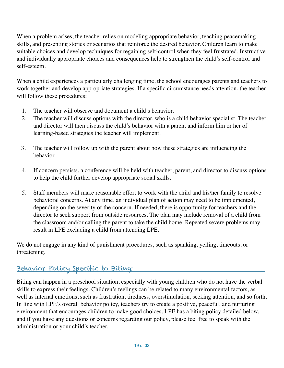When a problem arises, the teacher relies on modeling appropriate behavior, teaching peacemaking skills, and presenting stories or scenarios that reinforce the desired behavior. Children learn to make suitable choices and develop techniques for regaining self-control when they feel frustrated. Instructive and individually appropriate choices and consequences help to strengthen the child's self-control and self-esteem.

When a child experiences a particularly challenging time, the school encourages parents and teachers to work together and develop appropriate strategies. If a specific circumstance needs attention, the teacher will follow these procedures:

- 1. The teacher will observe and document a child's behavior.
- 2. The teacher will discuss options with the director, who is a child behavior specialist. The teacher and director will then discuss the child's behavior with a parent and inform him or her of learning-based strategies the teacher will implement.
- 3. The teacher will follow up with the parent about how these strategies are influencing the behavior.
- 4. If concern persists, a conference will be held with teacher, parent, and director to discuss options to help the child further develop appropriate social skills.
- 5. Staff members will make reasonable effort to work with the child and his/her family to resolve behavioral concerns. At any time, an individual plan of action may need to be implemented, depending on the severity of the concern. If needed, there is opportunity for teachers and the director to seek support from outside resources. The plan may include removal of a child from the classroom and/or calling the parent to take the child home. Repeated severe problems may result in LPE excluding a child from attending LPE.

We do not engage in any kind of punishment procedures, such as spanking, yelling, timeouts, or threatening.

# Behavior Policy Specific to Biting:

Biting can happen in a preschool situation, especially with young children who do not have the verbal skills to express their feelings. Children's feelings can be related to many environmental factors, as well as internal emotions, such as frustration, tiredness, overstimulation, seeking attention, and so forth. In line with LPE's overall behavior policy, teachers try to create a positive, peaceful, and nurturing environment that encourages children to make good choices. LPE has a biting policy detailed below, and if you have any questions or concerns regarding our policy, please feel free to speak with the administration or your child's teacher.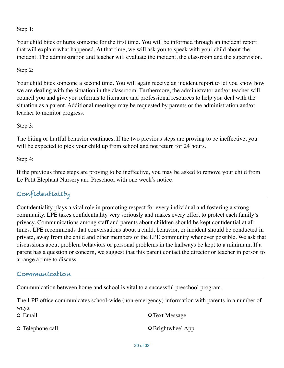Step 1:

Your child bites or hurts someone for the first time. You will be informed through an incident report that will explain what happened. At that time, we will ask you to speak with your child about the incident. The administration and teacher will evaluate the incident, the classroom and the supervision.

Step 2:

Your child bites someone a second time. You will again receive an incident report to let you know how we are dealing with the situation in the classroom. Furthermore, the administrator and/or teacher will council you and give you referrals to literature and professional resources to help you deal with the situation as a parent. Additional meetings may be requested by parents or the administration and/or teacher to monitor progress.

Step 3:

The biting or hurtful behavior continues. If the two previous steps are proving to be ineffective, you will be expected to pick your child up from school and not return for 24 hours.

Step 4:

If the previous three steps are proving to be ineffective, you may be asked to remove your child from Le Petit Elephant Nursery and Preschool with one week's notice.

# Confidentiality

Confidentiality plays a vital role in promoting respect for every individual and fostering a strong community. LPE takes confidentiality very seriously and makes every effort to protect each family's privacy. Communications among staff and parents about children should be kept confidential at all times. LPE recommends that conversations about a child, behavior, or incident should be conducted in private, away from the child and other members of the LPE community whenever possible. We ask that discussions about problem behaviors or personal problems in the hallways be kept to a minimum. If a parent has a question or concern, we suggest that this parent contact the director or teacher in person to arrange a time to discuss.

#### Communication

Communication between home and school is vital to a successful preschool program.

The LPE office communicates school-wide (non-emergency) information with parents in a number of ways:

O Email **O** Telephone call O Text Message **O** Brightwheel App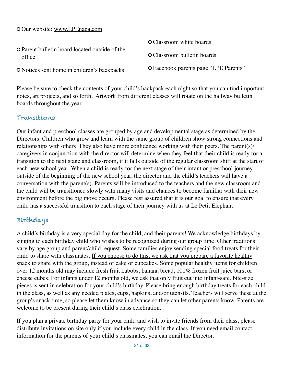Our website: [www.LPEnapa.com](http://www.LPEnapa.com)

| <b>O</b> Parent bulletin board located outside of the<br>office | <b>O</b> Classroom white boards       |  |
|-----------------------------------------------------------------|---------------------------------------|--|
|                                                                 | <b>O</b> Classroom bulletin boards    |  |
| <b>O</b> Notices sent home in children's backpacks              | O Facebook parents page "LPE Parents" |  |

Please be sure to check the contents of your child's backpack each night so that you can find important notes, art projects, and so forth. Artwork from different classes will rotate on the hallway bulletin boards throughout the year.

#### Transitions

Our infant and preschool classes are grouped by age and developmental stage as determined by the Directors. Children who grow and learn with the same group of children show strong connections and relationships with others. They also have more confidence working with their peers. The parent(s)/ caregivers in conjunction with the director will determine when they feel that their child is ready for a transition to the next stage and classroom, if it falls outside of the regular classroom shift at the start of each new school year. When a child is ready for the next stage of their infant or preschool journey outside of the beginning of the new school year, the director and the child's teachers will have a conversation with the parent(s). Parents will be introduced to the teachers and the new classroom and the child will be transitioned slowly with many visits and chances to become familiar with their new environment before the big move occurs. Please rest assured that it is our goal to ensure that every child has a successful transition to each stage of their journey with us at Le Petit Elephant.

# Birthdays

A child's birthday is a very special day for the child, and their parents! We acknowledge birthdays by singing to each birthday child who wishes to be recognized during our group time. Other traditions vary by age group and parent/child request. Some families enjoy sending special food treats for their child to share with classmates. If you choose to do this, we ask that you prepare a favorite healthy snack to share with the group, instead of cake or cupcakes. Some popular healthy items for children over 12 months old may include fresh fruit kabobs, banana bread, 100% frozen fruit juice bars, or cheese cubes. For infants under 12 months old, we ask that only fruit cut into infant-safe, bite-size pieces is sent in celebration for your child's birthday. Please bring enough birthday treats for each child in the class, as well as any needed plates, cups, napkins, and/or utensils. Teachers will serve these at the group's snack time, so please let them know in advance so they can let other parents know. Parents are welcome to be present during their child's class celebration.

If you plan a private birthday party for your child and wish to invite friends from their class, please distribute invitations on site only if you include every child in the class. If you need email contact information for the parents of your child's classmates, you can email the Director.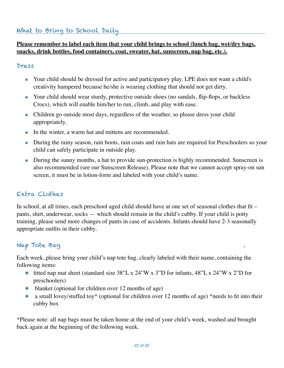#### **Please remember to label each item that your child brings to school (lunch bag, wet/dry bags, snacks, drink bottles, food containers, coat, sweater, hat, sunscreen, nap bag, etc.).**

#### Dress

- Your child should be dressed for active and participatory play. LPE does not want a child's creativity hampered because he/she is wearing clothing that should not get dirty.
- Your child should wear sturdy, protective outside shoes (no sandals, flip-flops, or backless Crocs), which will enable him/her to run, climb, and play with ease.
- Children go outside most days, regardless of the weather, so please dress your child appropriately.
- In the winter, a warm hat and mittens are recommended.
- During the rainy season, rain boots, rain coats and rain hats are required for Preschoolers so your child can safely participate in outside play.
- During the sunny months, a hat to provide sun-protection is highly recommended. Sunscreen is also recommended (see our Sunscreen Release). Please note that we cannot accept spray-on sun screen, it must be in lotion-form and labeled with your child's name.

# Extra Clothes

In school, at all times, each preschool aged child should have at one set of seasonal clothes that fit – pants, shirt, underwear, socks — which should remain in the child's cubby. If your child is potty training, please send more changes of pants in case of accidents. Infants should have 2-3 seasonally appropriate outfits in their cubby.

#### Nap Tote Bag .

Each week, please bring your child's nap tote bag, clearly labeled with their name, containing the following items:

- fitted nap mat sheet (standard size 38"L x 24"W x 3"D for infants, 48"L x 24"W x 2"D for preschoolers)
- blanket (optional for children over 12 months of age)
- a small lovey/stuffed toy\* (optional for children over 12 months of age) \*needs to fit into their cubby box

\*Please note: all nap bags must be taken home at the end of your child's week, washed and brought back again at the beginning of the following week.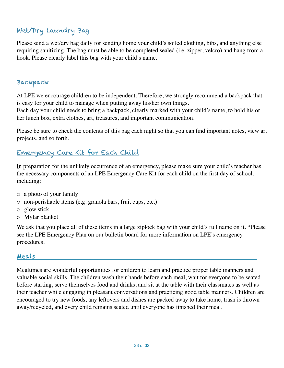# Wet/Dry Laundry Bag

Please send a wet/dry bag daily for sending home your child's soiled clothing, bibs, and anything else requiring sanitizing. The bag must be able to be completed sealed (i.e. zipper, velcro) and hang from a hook. Please clearly label this bag with your child's name.

#### Backpack

At LPE we encourage children to be independent. Therefore, we strongly recommend a backpack that is easy for your child to manage when putting away his/her own things.

Each day your child needs to bring a backpack, clearly marked with your child's name, to hold his or her lunch box, extra clothes, art, treasures, and important communication.

Please be sure to check the contents of this bag each night so that you can find important notes, view art projects, and so forth.

# Emergency Care Kit for Each Child

In preparation for the unlikely occurrence of an emergency, please make sure your child's teacher has the necessary components of an LPE Emergency Care Kit for each child on the first day of school, including:

- o a photo of your family
- o non-perishable items (e.g. granola bars, fruit cups, etc.)
- o glow stick
- o Mylar blanket

We ask that you place all of these items in a large ziplock bag with your child's full name on it. \*Please see the LPE Emergency Plan on our bulletin board for more information on LPE's emergency procedures.

#### Meals

Mealtimes are wonderful opportunities for children to learn and practice proper table manners and valuable social skills. The children wash their hands before each meal, wait for everyone to be seated before starting, serve themselves food and drinks, and sit at the table with their classmates as well as their teacher while engaging in pleasant conversations and practicing good table manners. Children are encouraged to try new foods, any leftovers and dishes are packed away to take home, trash is thrown away/recycled, and every child remains seated until everyone has finished their meal.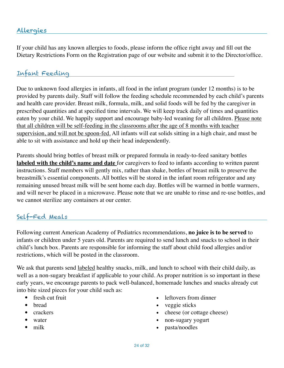#### Allergies

If your child has any known allergies to foods, please inform the office right away and fill out the Dietary Restrictions Form on the Registration page of our website and submit it to the Director/office.

#### Infant Feeding

Due to unknown food allergies in infants, all food in the infant program (under 12 months) is to be provided by parents daily. Staff will follow the feeding schedule recommended by each child's parents and health care provider. Breast milk, formula, milk, and solid foods will be fed by the caregiver in prescribed quantities and at specified time intervals. We will keep track daily of times and quantities eaten by your child. We happily support and encourage baby-led weaning for all children. Please note that all children will be self-feeding in the classrooms after the age of 8 months with teacher supervision, and will not be spoon-fed. All infants will eat solids sitting in a high chair, and must be able to sit with assistance and hold up their head independently.

Parents should bring bottles of breast milk or prepared formula in ready-to-feed sanitary bottles **labeled with the child's name and date** for caregivers to feed to infants according to written parent instructions. Staff members will gently mix, rather than shake, bottles of breast milk to preserve the breastmilk's essential components. All bottles will be stored in the infant room refrigerator and any remaining unused breast milk will be sent home each day. Bottles will be warmed in bottle warmers, and will never be placed in a microwave. Please note that we are unable to rinse and re-use bottles, and we cannot sterilize any containers at our center.

#### Self-Fed Meals

Following current American Academy of Pediatrics recommendations, **no juice is to be served** to infants or children under 5 years old. Parents are required to send lunch and snacks to school in their child's lunch box. Parents are responsible for informing the staff about child food allergies and/or restrictions, which will be posted in the classroom.

We ask that parents send labeled healthy snacks, milk, and lunch to school with their child daily, as well as a non-sugary breakfast if applicable to your child. As proper nutrition is so important in these early years, we encourage parents to pack well-balanced, homemade lunches and snacks already cut into bite sized pieces for your child such as:

- fresh cut fruit
- bread
- crackers
- water
- milk
- leftovers from dinner
- veggie sticks
- cheese (or cottage cheese)
- non-sugary yogurt
- pasta/noodles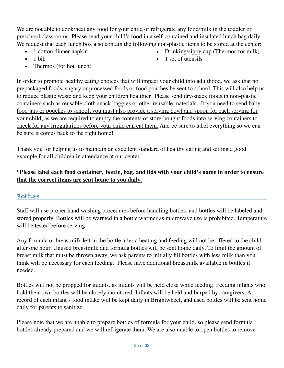We are not able to cook/heat any food for your child or refrigerate any food/milk in the toddler or preschool classrooms. Please send your child's food in a self-contained and insulated lunch bag daily. We request that each lunch box also contain the following non-plastic items to be stored at the center:

• 1 cotton dinner napkin

• Drinking/sippy cup (Thermos for milk)

- 1 bib
- Thermos (for hot lunch)

• 1 set of utensils

In order to promote healthy eating choices that will impact your child into adulthood, we ask that no prepackaged foods, sugary or processed foods or food pouches be sent to school. This will also help us to reduce plastic waste and keep your children healthier! Please send dry/snack foods in non-plastic containers such as reusable cloth snack baggies or other reusable materials. If you need to send baby food jars or pouches to school, you must also provide a serving bowl and spoon for each serving for your child, as we are required to empty the contents of store-bought foods into serving containers to check for any irregularities before your child can eat them. And be sure to label everything so we can be sure it comes back to the right home!

Thank you for helping us to maintain an excellent standard of healthy eating and setting a good example for all children in attendance at our center.

#### **\*Please label each food container, bottle, bag, and lids with your child's name in order to ensure that the correct items are sent home to you daily.**

#### Bottles

Staff will use proper hand washing procedures before handling bottles, and bottles will be labeled and stored properly. Bottles will be warmed in a bottle warmer as microwave use is prohibited. Temperature will be tested before serving.

Any formula or breastmilk left in the bottle after a heating and feeding will not be offered to the child after one hour. Unused breastmilk and formula bottles will be sent home daily. To limit the amount of breast milk that must be thrown away, we ask parents to initially fill bottles with less milk than you think will be necessary for each feeding. Please have additional breastmilk available in bottles if needed.

Bottles will not be propped for infants, as infants will be held close while feeding. Feeding infants who hold their own bottles will be closely monitored. Infants will be held and burped by caregivers. A record of each infant's food intake will be kept daily in Brightwheel, and used bottles will be sent home daily for parents to sanitize.

Please note that we are unable to prepare bottles of formula for your child, so please send formula bottles already prepared and we will refrigerate them. We are also unable to open bottles to remove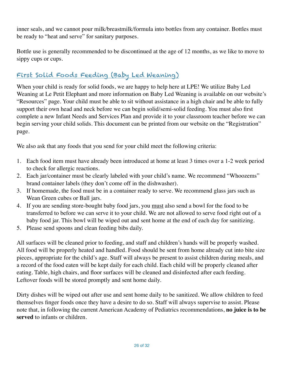inner seals, and we cannot pour milk/breastmilk/formula into bottles from any container. Bottles must be ready to "heat and serve" for sanitary purposes.

Bottle use is generally recommended to be discontinued at the age of 12 months, as we like to move to sippy cups or cups.

# First Solid Foods Feeding (Baby Led Weaning)

When your child is ready for solid foods, we are happy to help here at LPE! We utilize Baby Led Weaning at Le Petit Elephant and more information on Baby Led Weaning is available on our website's "Resources" page. Your child must be able to sit without assistance in a high chair and be able to fully support their own head and neck before we can begin solid/semi-solid feeding. You must also first complete a new Infant Needs and Services Plan and provide it to your classroom teacher before we can begin serving your child solids. This document can be printed from our website on the "Registration" page.

We also ask that any foods that you send for your child meet the following criteria:

- 1. Each food item must have already been introduced at home at least 3 times over a 1-2 week period to check for allergic reactions.
- 2. Each jar/container must be clearly labeled with your child's name. We recommend "Whoozems" brand container labels (they don't come off in the dishwasher).
- 3. If homemade, the food must be in a container ready to serve. We recommend glass jars such as Wean Green cubes or Ball jars.
- 4. If you are sending store-bought baby food jars, you must also send a bowl for the food to be transferred to before we can serve it to your child. We are not allowed to serve food right out of a baby food jar. This bowl will be wiped out and sent home at the end of each day for sanitizing.
- 5. Please send spoons and clean feeding bibs daily.

All surfaces will be cleaned prior to feeding, and staff and children's hands will be properly washed. All food will be properly heated and handled. Food should be sent from home already cut into bite size pieces, appropriate for the child's age. Staff will always be present to assist children during meals, and a record of the food eaten will be kept daily for each child. Each child will be properly cleaned after eating. Table, high chairs, and floor surfaces will be cleaned and disinfected after each feeding. Leftover foods will be stored promptly and sent home daily.

Dirty dishes will be wiped out after use and sent home daily to be sanitized. We allow children to feed themselves finger foods once they have a desire to do so. Staff will always supervise to assist. Please note that, in following the current American Academy of Pediatrics recommendations, **no juice is to be served** to infants or children.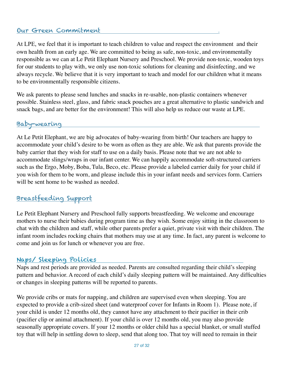#### Our Green Commitment

At LPE, we feel that it is important to teach children to value and respect the environment and their own health from an early age. We are committed to being as safe, non-toxic, and environmentally responsible as we can at Le Petit Elephant Nursery and Preschool. We provide non-toxic, wooden toys for our students to play with, we only use non-toxic solutions for cleaning and disinfecting, and we always recycle. We believe that it is very important to teach and model for our children what it means to be environmentally responsible citizens.

We ask parents to please send lunches and snacks in re-usable, non-plastic containers whenever possible. Stainless steel, glass, and fabric snack pouches are a great alternative to plastic sandwich and snack bags, and are better for the environment! This will also help us reduce our waste at LPE.

#### Baby-wearing

At Le Petit Elephant, we are big advocates of baby-wearing from birth! Our teachers are happy to accommodate your child's desire to be worn as often as they are able. We ask that parents provide the baby carrier that they wish for staff to use on a daily basis. Please note that we are not able to accommodate slings/wraps in our infant center. We can happily accommodate soft-structured carriers such as the Ergo, Moby, Boba, Tula, Beco, etc. Please provide a labeled carrier daily for your child if you wish for them to be worn, and please include this in your infant needs and services form. Carriers will be sent home to be washed as needed.

# Breastfeeding Support

Le Petit Elephant Nursery and Preschool fully supports breastfeeding. We welcome and encourage mothers to nurse their babies during program time as they wish. Some enjoy sitting in the classroom to chat with the children and staff, while other parents prefer a quiet, private visit with their children. The infant room includes rocking chairs that mothers may use at any time. In fact, any parent is welcome to come and join us for lunch or whenever you are free.

# Naps/ Sleeping Policies

Naps and rest periods are provided as needed. Parents are consulted regarding their child's sleeping pattern and behavior. A record of each child's daily sleeping pattern will be maintained. Any difficulties or changes in sleeping patterns will be reported to parents.

We provide cribs or mats for napping, and children are supervised even when sleeping. You are expected to provide a crib-sized sheet (and waterproof cover for Infants in Room 1). Please note, if your child is under 12 months old, they cannot have any attachment to their pacifier in their crib (pacifier clip or animal attachment). If your child is over 12 months old, you may also provide seasonally appropriate covers. If your 12 months or older child has a special blanket, or small stuffed toy that will help in settling down to sleep, send that along too. That toy will need to remain in their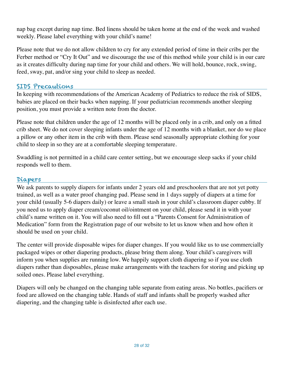nap bag except during nap time. Bed linens should be taken home at the end of the week and washed weekly. Please label everything with your child's name!

Please note that we do not allow children to cry for any extended period of time in their cribs per the Ferber method or "Cry It Out" and we discourage the use of this method while your child is in our care as it creates difficulty during nap time for your child and others. We will hold, bounce, rock, swing, feed, sway, pat, and/or sing your child to sleep as needed.

#### SIDS Precautions

In keeping with recommendations of the American Academy of Pediatrics to reduce the risk of SIDS, babies are placed on their backs when napping. If your pediatrician recommends another sleeping position, you must provide a written note from the doctor.

Please note that children under the age of 12 months will be placed only in a crib, and only on a fitted crib sheet. We do not cover sleeping infants under the age of 12 months with a blanket, nor do we place a pillow or any other item in the crib with them. Please send seasonally appropriate clothing for your child to sleep in so they are at a comfortable sleeping temperature.

Swaddling is not permitted in a child care center setting, but we encourage sleep sacks if your child responds well to them.

#### Diapers

We ask parents to supply diapers for infants under 2 years old and preschoolers that are not yet potty trained, as well as a water proof changing pad. Please send in 1 days supply of diapers at a time for your child (usually 5-6 diapers daily) or leave a small stash in your child's classroom diaper cubby. If you need us to apply diaper cream/coconut oil/ointment on your child, please send it in with your child's name written on it. You will also need to fill out a "Parents Consent for Administration of Medication" form from the Registration page of our website to let us know when and how often it should be used on your child.

The center will provide disposable wipes for diaper changes. If you would like us to use commercially packaged wipes or other diapering products, please bring them along. Your child's caregivers will inform you when supplies are running low. We happily support cloth diapering so if you use cloth diapers rather than disposables, please make arrangements with the teachers for storing and picking up soiled ones. Please label everything.

Diapers will only be changed on the changing table separate from eating areas. No bottles, pacifiers or food are allowed on the changing table. Hands of staff and infants shall be properly washed after diapering, and the changing table is disinfected after each use.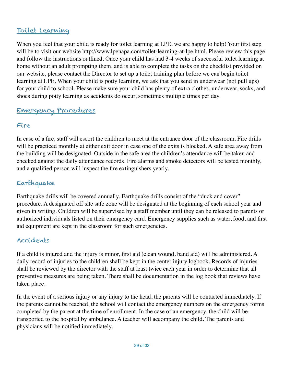#### Toilet Learning

When you feel that your child is ready for toilet learning at LPE, we are happy to help! Your first step will be to visit our website <http://www.lpenapa.com/toilet-learning-at-lpe.html>. Please review this page and follow the instructions outlined. Once your child has had 3-4 weeks of successful toilet learning at home without an adult prompting them, and is able to complete the tasks on the checklist provided on our website, please contact the Director to set up a toilet training plan before we can begin toilet learning at LPE. When your child is potty learning, we ask that you send in underwear (not pull ups) for your child to school. Please make sure your child has plenty of extra clothes, underwear, socks, and shoes during potty learning as accidents do occur, sometimes multiple times per day.

# Emergency Procedures

#### Fire

In case of a fire, staff will escort the children to meet at the entrance door of the classroom. Fire drills will be practiced monthly at either exit door in case one of the exits is blocked. A safe area away from the building will be designated. Outside in the safe area the children's attendance will be taken and checked against the daily attendance records. Fire alarms and smoke detectors will be tested monthly, and a qualified person will inspect the fire extinguishers yearly.

# Earthquake

Earthquake drills will be covered annually. Earthquake drills consist of the "duck and cover" procedure. A designated off site safe zone will be designated at the beginning of each school year and given in writing. Children will be supervised by a staff member until they can be released to parents or authorized individuals listed on their emergency card. Emergency supplies such as water, food, and first aid equipment are kept in the classroom for such emergencies.

#### Accidents

If a child is injured and the injury is minor, first aid (clean wound, band aid) will be administered. A daily record of injuries to the children shall be kept in the center injury logbook. Records of injuries shall be reviewed by the director with the staff at least twice each year in order to determine that all preventive measures are being taken. There shall be documentation in the log book that reviews have taken place.

In the event of a serious injury or any injury to the head, the parents will be contacted immediately. If the parents cannot be reached, the school will contact the emergency numbers on the emergency forms completed by the parent at the time of enrollment. In the case of an emergency, the child will be transported to the hospital by ambulance. A teacher will accompany the child. The parents and physicians will be notified immediately.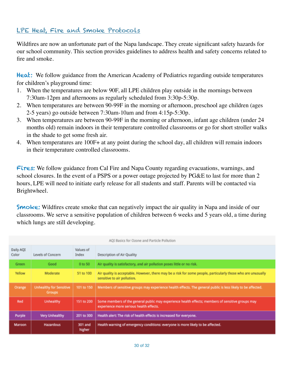#### LPE Heat, Fire and Smoke Protocols

Wildfires are now an unfortunate part of the Napa landscape. They create significant safety hazards for our school community. This section provides guidelines to address health and safety concerns related to fire and smoke.

Heat: We follow guidance from the American Academy of Pediatrics regarding outside temperatures for children's playground time:

- 1. When the temperatures are below 90F, all LPE children play outside in the mornings between 7:30am-12pm and afternoons as regularly scheduled from 3:30p-5:30p.
- 2. When temperatures are between 90-99F in the morning or afternoon, preschool age children (ages 2-5 years) go outside between 7:30am-10am and from 4:15p-5:30p.
- 3. When temperatures are between 90-99F in the morning or afternoon, infant age children (under 24 months old) remain indoors in their temperature controlled classrooms or go for short stroller walks in the shade to get some fresh air.
- 4. When temperatures are 100F+ at any point during the school day, all children will remain indoors in their temperature controlled classrooms.

Fires: We follow guidance from Cal Fire and Napa County regarding evacuations, warnings, and school closures. In the event of a PSPS or a power outage projected by PG&E to last for more than 2 hours, LPE will need to initiate early release for all students and staff. Parents will be contacted via Brightwheel.

**Smoke:** Wildfires create smoke that can negatively impact the air quality in Napa and inside of our classrooms. We serve a sensitive population of children between 6 weeks and 5 years old, a time during which lungs are still developing.

| AQI Basics for Ozone and Particle Pollution |                                                 |                    |                                                                                                                                              |  |
|---------------------------------------------|-------------------------------------------------|--------------------|----------------------------------------------------------------------------------------------------------------------------------------------|--|
| Daily AQI<br>Color                          | Levels of Concern                               | Values of<br>Index | Description of Air Quality                                                                                                                   |  |
| Green                                       | Good                                            | 0 to 50            | Air quality is satisfactory, and air pollution poses little or no risk.                                                                      |  |
| Yellow                                      | Moderate                                        | 51 to 100          | Air quality is acceptable. However, there may be a risk for some people, particularly those who are unusually<br>sensitive to air pollution. |  |
| Orange                                      | <b>Unhealthy for Sensitive</b><br><b>Groups</b> | 101 to 150         | Members of sensitive groups may experience health effects. The general public is less likely to be affected.                                 |  |
| Red                                         | <b>Unhealthy</b>                                | 151 to 200         | Some members of the general public may experience health effects; members of sensitive groups may<br>experience more serious health effects. |  |
| Purple                                      | Very Unhealthy                                  | 201 to 300         | Health alert: The risk of health effects is increased for everyone.                                                                          |  |
| Maroon                                      | <b>Hazardous</b>                                | 301 and<br>higher  | Health warning of emergency conditions: everyone is more likely to be affected.                                                              |  |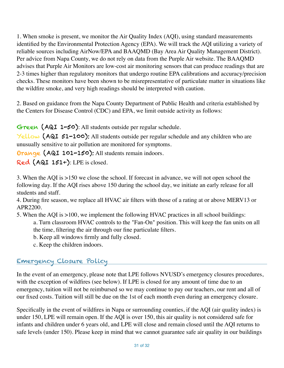1. When smoke is present, we monitor the Air Quality Index (AQI), using standard measurements identified by the Environmental Protection Agency (EPA). We will track the AQI utilizing a variety of reliable sources including AirNow/EPA and BAAQMD (Bay Area Air Quality Management District). Per advice from Napa County, we do not rely on data from the Purple Air website. The BAAQMD advises that Purple Air Monitors are low-cost air monitoring sensors that can produce readings that are 2-3 times higher than regulatory monitors that undergo routine EPA calibrations and accuracy/precision checks. These monitors have been shown to be misrepresentative of particulate matter in situations like the wildfire smoke, and very high readings should be interpreted with caution.

2. Based on guidance from the Napa County Department of Public Health and criteria established by the Centers for Disease Control (CDC) and EPA, we limit outside activity as follows:

Green (AQI 1-50): All students outside per regular schedule.

Yellow (AQI 51-100): All students outside per regular schedule and any children who are unusually sensitive to air pollution are monitored for symptoms.

Orange (AQI 101-150): All students remain indoors.

Red (AQI 151+): LPE is closed.

3. When the AQI is >150 we close the school. If forecast in advance, we will not open school the following day. If the AQI rises above 150 during the school day, we initiate an early release for all students and staff.

4. During fire season, we replace all HVAC air filters with those of a rating at or above MERV13 or APR2200.

5. When the AQI is >100, we implement the following HVAC practices in all school buildings:

a. Turn classroom HVAC controls to the "Fan-On" position. This will keep the fan units on all the time, filtering the air through our fine particulate filters.

- b. Keep all windows firmly and fully closed.
- c. Keep the children indoors.

# Emergency Closure Policy

In the event of an emergency, please note that LPE follows NVUSD's emergency closures procedures, with the exception of wildfires (see below). If LPE is closed for any amount of time due to an emergency, tuition will not be reimbursed so we may continue to pay our teachers, our rent and all of our fixed costs. Tuition will still be due on the 1st of each month even during an emergency closure.

Specifically in the event of wildfires in Napa or surrounding counties, if the AQI (air quality index) is under 150, LPE will remain open. If the AQI is over 150, this air quality is not considered safe for infants and children under 6 years old, and LPE will close and remain closed until the AQI returns to safe levels (under 150). Please keep in mind that we cannot guarantee safe air quality in our buildings